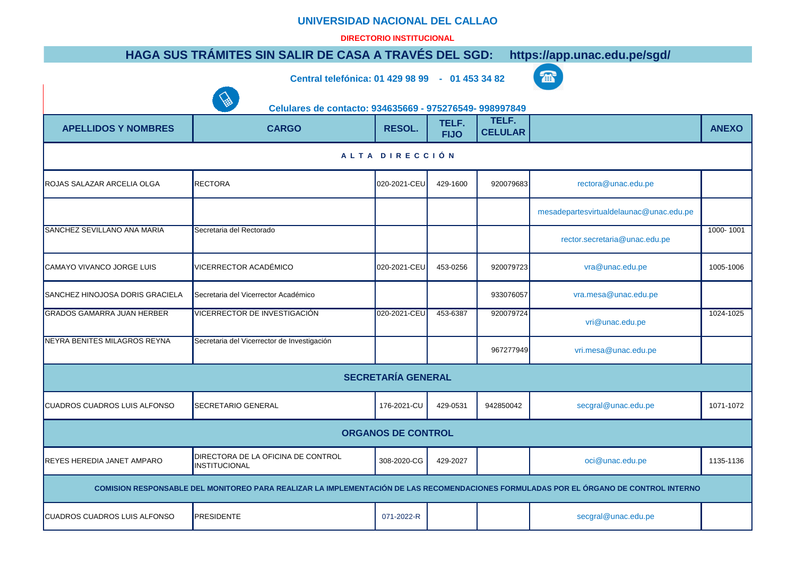## **UNIVERSIDAD NACIONAL DEL CALLAO**

## **DIRECTORIO INSTITUCIONAL**

## **[HAGA SUS T](mailto:mesadepartesvirtualdelaunac@unac.edu.pe)RÁMITES SIN SALIR DE CASA A TRAVÉS DEL SGD: https://app.unac.edu.pe/sgd/**

**Central telefónica: 01 429 98 99 - 01 453 34 82**

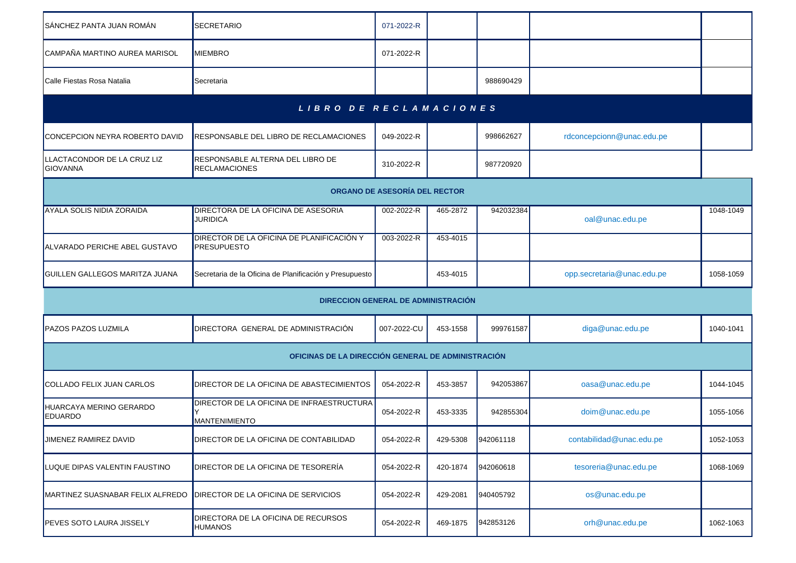| SÁNCHEZ PANTA JUAN ROMÁN                       | SECRETARIO                                                        | 071-2022-R  |          |           |                            |           |  |  |  |  |  |
|------------------------------------------------|-------------------------------------------------------------------|-------------|----------|-----------|----------------------------|-----------|--|--|--|--|--|
| CAMPAÑA MARTINO AUREA MARISOL                  | <b>MIEMBRO</b>                                                    | 071-2022-R  |          |           |                            |           |  |  |  |  |  |
| Calle Fiestas Rosa Natalia                     | Secretaria                                                        |             |          | 988690429 |                            |           |  |  |  |  |  |
|                                                | LIBRO DE RECLAMACIONES                                            |             |          |           |                            |           |  |  |  |  |  |
| CONCEPCION NEYRA ROBERTO DAVID                 | <b>RESPONSABLE DEL LIBRO DE RECLAMACIONES</b>                     | 049-2022-R  |          | 998662627 | rdconcepcionn@unac.edu.pe  |           |  |  |  |  |  |
| LLACTACONDOR DE LA CRUZ LIZ<br><b>GIOVANNA</b> | RESPONSABLE ALTERNA DEL LIBRO DE<br>RECLAMACIONES                 | 310-2022-R  |          | 987720920 |                            |           |  |  |  |  |  |
| ORGANO DE ASESORÍA DEL RECTOR                  |                                                                   |             |          |           |                            |           |  |  |  |  |  |
| AYALA SOLIS NIDIA ZORAIDA                      | DIRECTORA DE LA OFICINA DE ASESORIA<br><b>JURIDICA</b>            | 002-2022-R  | 465-2872 | 942032384 | oal@unac.edu.pe            | 1048-1049 |  |  |  |  |  |
| ALVARADO PERICHE ABEL GUSTAVO                  | <b>DIRECTOR DE LA OFICINA DE PLANIFICACIÓN Y</b><br>PRESUPUESTO   | 003-2022-R  | 453-4015 |           |                            |           |  |  |  |  |  |
| GUILLEN GALLEGOS MARITZA JUANA                 | Secretaria de la Oficina de Planificación y Presupuesto           |             | 453-4015 |           | opp.secretaria@unac.edu.pe | 1058-1059 |  |  |  |  |  |
|                                                | DIRECCION GENERAL DE ADMINISTRACIÓN                               |             |          |           |                            |           |  |  |  |  |  |
| <b>PAZOS PAZOS LUZMILA</b>                     | DIRECTORA GENERAL DE ADMINISTRACIÓN                               | 007-2022-CU | 453-1558 | 999761587 | diga@unac.edu.pe           | 1040-1041 |  |  |  |  |  |
|                                                | OFICINAS DE LA DIRECCIÓN GENERAL DE ADMINISTRACIÓN                |             |          |           |                            |           |  |  |  |  |  |
| COLLADO FELIX JUAN CARLOS                      | DIRECTOR DE LA OFICINA DE ABASTECIMIENTOS                         | 054-2022-R  | 453-3857 | 942053867 | oasa@unac.edu.pe           | 1044-1045 |  |  |  |  |  |
| HUARCAYA MERINO GERARDO<br><b>EDUARDO</b>      | DIRECTOR DE LA OFICINA DE INFRAESTRUCTURA<br><b>MANTENIMIENTO</b> | 054-2022-R  | 453-3335 | 942855304 | doim@unac.edu.pe           | 1055-1056 |  |  |  |  |  |
| JIMENEZ RAMIREZ DAVID                          | <b>DIRECTOR DE LA OFICINA DE CONTABILIDAD</b>                     | 054-2022-R  | 429-5308 | 942061118 | contabilidad@unac.edu.pe   | 1052-1053 |  |  |  |  |  |
| LUQUE DIPAS VALENTIN FAUSTINO                  | DIRECTOR DE LA OFICINA DE TESORERÍA                               | 054-2022-R  | 420-1874 | 942060618 | tesoreria@unac.edu.pe      | 1068-1069 |  |  |  |  |  |
| MARTINEZ SUASNABAR FELIX ALFREDO               | DIRECTOR DE LA OFICINA DE SERVICIOS                               | 054-2022-R  | 429-2081 | 940405792 | os@unac.edu.pe             |           |  |  |  |  |  |
| PEVES SOTO LAURA JISSELY                       | DIRECTORA DE LA OFICINA DE RECURSOS<br><b>HUMANOS</b>             | 054-2022-R  | 469-1875 | 942853126 | orh@unac.edu.pe            | 1062-1063 |  |  |  |  |  |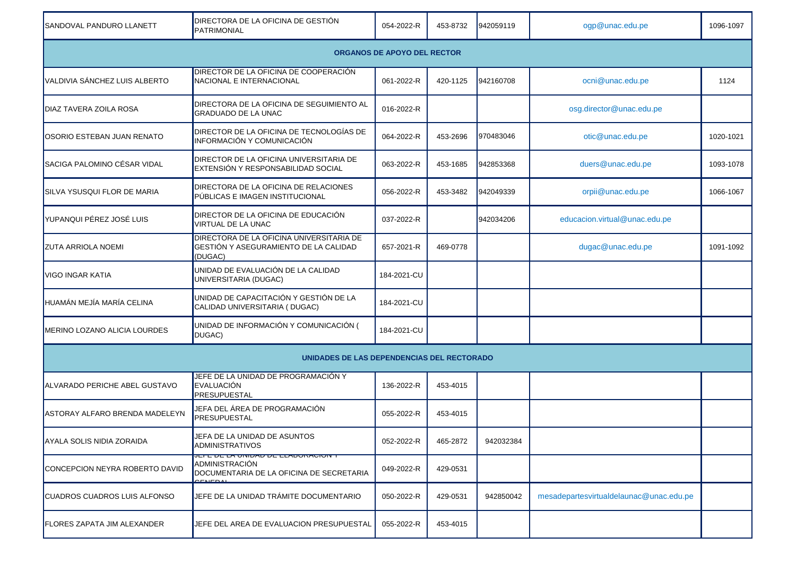| SANDOVAL PANDURO LLANETT           | DIRECTORA DE LA OFICINA DE GESTIÓN<br>PATRIMONIAL                                                                              | 054-2022-R  | 453-8732 | 942059119 | ogp@unac.edu.pe                         | 1096-1097 |  |  |  |
|------------------------------------|--------------------------------------------------------------------------------------------------------------------------------|-------------|----------|-----------|-----------------------------------------|-----------|--|--|--|
| <b>ORGANOS DE APOYO DEL RECTOR</b> |                                                                                                                                |             |          |           |                                         |           |  |  |  |
| VALDIVIA SÁNCHEZ LUIS ALBERTO      | DIRECTOR DE LA OFICINA DE COOPERACIÓN<br>NACIONAL E INTERNACIONAL                                                              | 061-2022-R  | 420-1125 | 942160708 | ocni@unac.edu.pe                        | 1124      |  |  |  |
| <b>DIAZ TAVERA ZOILA ROSA</b>      | DIRECTORA DE LA OFICINA DE SEGUIMIENTO AL<br>GRADUADO DE LA UNAC                                                               | 016-2022-R  |          |           | osg.director@unac.edu.pe                |           |  |  |  |
| OSORIO ESTEBAN JUAN RENATO         | DIRECTOR DE LA OFICINA DE TECNOLOGÍAS DE<br><b>INFORMACIÓN Y COMUNICACIÓN</b>                                                  | 064-2022-R  | 453-2696 | 970483046 | otic@unac.edu.pe                        | 1020-1021 |  |  |  |
| SACIGA PALOMINO CÉSAR VIDAL        | DIRECTOR DE LA OFICINA UNIVERSITARIA DE<br>EXTENSIÓN Y RESPONSABILIDAD SOCIAL                                                  | 063-2022-R  | 453-1685 | 942853368 | duers@unac.edu.pe                       | 1093-1078 |  |  |  |
| SILVA YSUSQUI FLOR DE MARIA        | DIRECTORA DE LA OFICINA DE RELACIONES<br>PÚBLICAS E IMAGEN INSTITUCIONAL                                                       | 056-2022-R  | 453-3482 | 942049339 | orpii@unac.edu.pe                       | 1066-1067 |  |  |  |
| YUPANQUI PÉREZ JOSÉ LUIS           | DIRECTOR DE LA OFICINA DE EDUCACIÓN<br><b>VIRTUAL DE LA UNAC</b>                                                               | 037-2022-R  |          | 942034206 | educacion.virtual@unac.edu.pe           |           |  |  |  |
| <b>ZUTA ARRIOLA NOEMI</b>          | DIRECTORA DE LA OFICINA UNIVERSITARIA DE<br>GESTIÓN Y ASEGURAMIENTO DE LA CALIDAD<br>(DUGAC)                                   | 657-2021-R  | 469-0778 |           | dugac@unac.edu.pe                       | 1091-1092 |  |  |  |
| VIGO INGAR KATIA                   | UNIDAD DE EVALUACIÓN DE LA CALIDAD<br>UNIVERSITARIA (DUGAC)                                                                    | 184-2021-CU |          |           |                                         |           |  |  |  |
| HUAMÁN MEJÍA MARÍA CELINA          | UNIDAD DE CAPACITACIÓN Y GESTIÓN DE LA<br>CALIDAD UNIVERSITARIA (DUGAC)                                                        | 184-2021-CU |          |           |                                         |           |  |  |  |
| MERINO LOZANO ALICIA LOURDES       | UNIDAD DE INFORMACIÓN Y COMUNICACIÓN (<br>DUGAC)                                                                               | 184-2021-CU |          |           |                                         |           |  |  |  |
|                                    | UNIDADES DE LAS DEPENDENCIAS DEL RECTORADO                                                                                     |             |          |           |                                         |           |  |  |  |
| ALVARADO PERICHE ABEL GUSTAVO      | JEFE DE LA UNIDAD DE PROGRAMACIÓN Y<br>EVALUACIÓN<br>PRESUPUESTAL                                                              | 136-2022-R  | 453-4015 |           |                                         |           |  |  |  |
| ASTORAY ALFARO BRENDA MADELEYN     | JEFA DEL ÁREA DE PROGRAMACIÓN<br>PRESUPUESTAL                                                                                  | 055-2022-R  | 453-4015 |           |                                         |           |  |  |  |
| AYALA SOLIS NIDIA ZORAIDA          | JEFA DE LA UNIDAD DE ASUNTOS<br><b>ADMINISTRATIVOS</b>                                                                         | 052-2022-R  | 465-2872 | 942032384 |                                         |           |  |  |  |
| CONCEPCION NEYRA ROBERTO DAVID     | יוסוסי עוספי <i>בבים שמשוו</i> וס מברשים דבש<br>ADMINISTRACIÓN<br>DOCUMENTARIA DE LA OFICINA DE SECRETARIA<br>$C$ <sub>L</sub> | 049-2022-R  | 429-0531 |           |                                         |           |  |  |  |
| CUADROS CUADROS LUIS ALFONSO       | JEFE DE LA UNIDAD TRÁMITE DOCUMENTARIO                                                                                         | 050-2022-R  | 429-0531 | 942850042 | mesadepartesvirtualdelaunac@unac.edu.pe |           |  |  |  |
| <b>FLORES ZAPATA JIM ALEXANDER</b> | JEFE DEL AREA DE EVALUACION PRESUPUESTAL                                                                                       | 055-2022-R  | 453-4015 |           |                                         |           |  |  |  |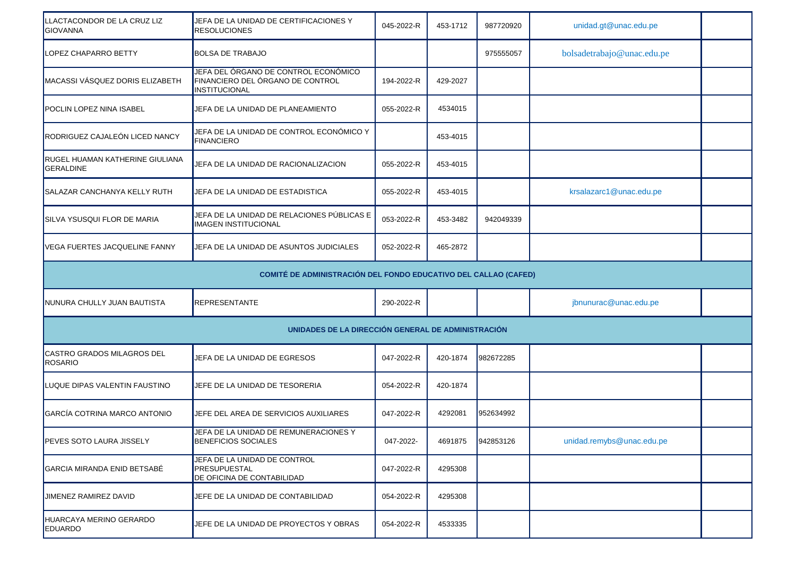| LLACTACONDOR DE LA CRUZ LIZ<br><b>GIOVANNA</b>             | JEFA DE LA UNIDAD DE CERTIFICACIONES Y<br><b>RESOLUCIONES</b>                             | 045-2022-R | 453-1712 | 987720920 | unidad.gt@unac.edu.pe      |  |  |  |  |
|------------------------------------------------------------|-------------------------------------------------------------------------------------------|------------|----------|-----------|----------------------------|--|--|--|--|
| LOPEZ CHAPARRO BETTY                                       | <b>BOLSA DE TRABAJO</b>                                                                   |            |          | 975555057 | bolsadetrabajo@unac.edu.pe |  |  |  |  |
| MACASSI VÁSQUEZ DORIS ELIZABETH                            | JEFA DEL ÓRGANO DE CONTROL ECONÓMICO<br>FINANCIERO DEL ÓRGANO DE CONTROL<br>INSTITUCIONAL | 194-2022-R | 429-2027 |           |                            |  |  |  |  |
| POCLIN LOPEZ NINA ISABEL                                   | JEFA DE LA UNIDAD DE PLANEAMIENTO                                                         | 055-2022-R | 4534015  |           |                            |  |  |  |  |
| RODRIGUEZ CAJALEÓN LICED NANCY                             | JEFA DE LA UNIDAD DE CONTROL ECONÓMICO Y<br><b>FINANCIERO</b>                             |            | 453-4015 |           |                            |  |  |  |  |
| <b>RUGEL HUAMAN KATHERINE GIULIANA</b><br><b>GERALDINE</b> | JEFA DE LA UNIDAD DE RACIONALIZACION                                                      | 055-2022-R | 453-4015 |           |                            |  |  |  |  |
| SALAZAR CANCHANYA KELLY RUTH                               | JEFA DE LA UNIDAD DE ESTADISTICA                                                          | 055-2022-R | 453-4015 |           | krsalazarc1@unac.edu.pe    |  |  |  |  |
| <b>SILVA YSUSQUI FLOR DE MARIA</b>                         | JEFA DE LA UNIDAD DE RELACIONES PÚBLICAS E<br><b>IMAGEN INSTITUCIONAL</b>                 | 053-2022-R | 453-3482 | 942049339 |                            |  |  |  |  |
| VEGA FUERTES JACQUELINE FANNY                              | JEFA DE LA UNIDAD DE ASUNTOS JUDICIALES                                                   | 052-2022-R | 465-2872 |           |                            |  |  |  |  |
|                                                            | COMITÉ DE ADMINISTRACIÓN DEL FONDO EDUCATIVO DEL CALLAO (CAFED)                           |            |          |           |                            |  |  |  |  |
| NUNURA CHULLY JUAN BAUTISTA                                | <b>REPRESENTANTE</b>                                                                      | 290-2022-R |          |           | jbnunurac@unac.edu.pe      |  |  |  |  |
|                                                            | UNIDADES DE LA DIRECCIÓN GENERAL DE ADMINISTRACIÓN                                        |            |          |           |                            |  |  |  |  |
| CASTRO GRADOS MILAGROS DEL<br><b>ROSARIO</b>               | JEFA DE LA UNIDAD DE EGRESOS                                                              | 047-2022-R | 420-1874 | 982672285 |                            |  |  |  |  |
| LUQUE DIPAS VALENTIN FAUSTINO                              | JEFE DE LA UNIDAD DE TESORERIA                                                            | 054-2022-R | 420-1874 |           |                            |  |  |  |  |
| GARCÍA COTRINA MARCO ANTONIO                               | JEFE DEL AREA DE SERVICIOS AUXILIARES                                                     | 047-2022-R | 4292081  | 952634992 |                            |  |  |  |  |
| PEVES SOTO LAURA JISSELY                                   | JEFA DE LA UNIDAD DE REMUNERACIONES Y<br><b>BENEFICIOS SOCIALES</b>                       | 047-2022-  | 4691875  | 942853126 | unidad.remybs@unac.edu.pe  |  |  |  |  |
| GARCIA MIRANDA ENID BETSABÉ                                | JEFA DE LA UNIDAD DE CONTROL<br>PRESUPUESTAL<br>DE OFICINA DE CONTABILIDAD                | 047-2022-R | 4295308  |           |                            |  |  |  |  |
| JIMENEZ RAMIREZ DAVID                                      | JEFE DE LA UNIDAD DE CONTABILIDAD                                                         | 054-2022-R | 4295308  |           |                            |  |  |  |  |
| HUARCAYA MERINO GERARDO<br><b>EDUARDO</b>                  | JEFE DE LA UNIDAD DE PROYECTOS Y OBRAS                                                    | 054-2022-R | 4533335  |           |                            |  |  |  |  |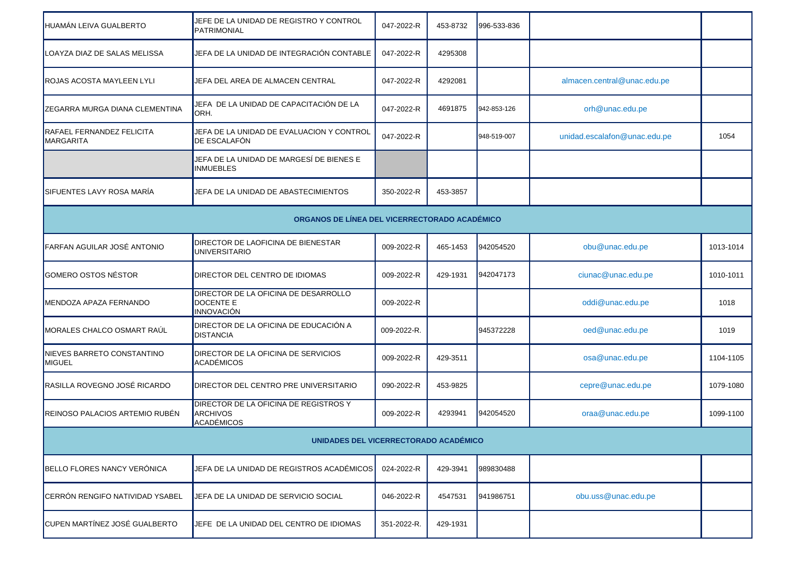| HUAMÁN LEIVA GUALBERTO                               | JEFE DE LA UNIDAD DE REGISTRO Y CONTROL<br><b>PATRIMONIAL</b>                 | 047-2022-R  | 453-8732 | 996-533-836 |                              |           |  |  |  |
|------------------------------------------------------|-------------------------------------------------------------------------------|-------------|----------|-------------|------------------------------|-----------|--|--|--|
| LOAYZA DIAZ DE SALAS MELISSA                         | JEFA DE LA UNIDAD DE INTEGRACIÓN CONTABLE                                     | 047-2022-R  | 4295308  |             |                              |           |  |  |  |
| <b>ROJAS ACOSTA MAYLEEN LYLI</b>                     | JEFA DEL AREA DE ALMACEN CENTRAL                                              | 047-2022-R  | 4292081  |             | almacen.central@unac.edu.pe  |           |  |  |  |
| <b>ZEGARRA MURGA DIANA CLEMENTINA</b>                | JEFA DE LA UNIDAD DE CAPACITACIÓN DE LA<br>ORH.                               | 047-2022-R  | 4691875  | 942-853-126 | orh@unac.edu.pe              |           |  |  |  |
| <b>RAFAEL FERNANDEZ FELICITA</b><br><b>MARGARITA</b> | JEFA DE LA UNIDAD DE EVALUACION Y CONTROL<br>DE ESCALAFÓN                     | 047-2022-R  |          | 948-519-007 | unidad.escalafon@unac.edu.pe | 1054      |  |  |  |
|                                                      | JEFA DE LA UNIDAD DE MARGESÍ DE BIENES E<br><b>INMUEBLES</b>                  |             |          |             |                              |           |  |  |  |
| ISIFUENTES LAVY ROSA MARÍA                           | JEFA DE LA UNIDAD DE ABASTECIMIENTOS                                          | 350-2022-R  | 453-3857 |             |                              |           |  |  |  |
| ORGANOS DE LÍNEA DEL VICERRECTORADO ACADÉMICO        |                                                                               |             |          |             |                              |           |  |  |  |
| <b>FARFAN AGUILAR JOSÉ ANTONIO</b>                   | DIRECTOR DE LAOFICINA DE BIENESTAR<br><b>UNIVERSITARIO</b>                    | 009-2022-R  | 465-1453 | 942054520   | obu@unac.edu.pe              | 1013-1014 |  |  |  |
| GOMERO OSTOS NÉSTOR                                  | DIRECTOR DEL CENTRO DE IDIOMAS                                                | 009-2022-R  | 429-1931 | 942047173   | ciunac@unac.edu.pe           | 1010-1011 |  |  |  |
| <b>IMENDOZA APAZA FERNANDO</b>                       | DIRECTOR DE LA OFICINA DE DESARROLLO<br><b>DOCENTE E</b><br><b>INNOVACIÓN</b> | 009-2022-R  |          |             | oddi@unac.edu.pe             | 1018      |  |  |  |
| MORALES CHALCO OSMART RAÚL                           | DIRECTOR DE LA OFICINA DE EDUCACIÓN A<br><b>DISTANCIA</b>                     | 009-2022-R. |          | 945372228   | oed@unac.edu.pe              | 1019      |  |  |  |
| NIEVES BARRETO CONSTANTINO<br>MIGUEL                 | DIRECTOR DE LA OFICINA DE SERVICIOS<br><b>ACADÉMICOS</b>                      | 009-2022-R  | 429-3511 |             | osa@unac.edu.pe              | 1104-1105 |  |  |  |
| RASILLA ROVEGNO JOSÉ RICARDO                         | DIRECTOR DEL CENTRO PRE UNIVERSITARIO                                         | 090-2022-R  | 453-9825 |             | cepre@unac.edu.pe            | 1079-1080 |  |  |  |
| REINOSO PALACIOS ARTEMIO RUBÉN                       | DIRECTOR DE LA OFICINA DE REGISTROS Y<br><b>ARCHIVOS</b><br>ACADÉMICOS        | 009-2022-R  | 4293941  | 942054520   | oraa@unac.edu.pe             | 1099-1100 |  |  |  |
|                                                      | UNIDADES DEL VICERRECTORADO ACADÉMICO                                         |             |          |             |                              |           |  |  |  |
| BELLO FLORES NANCY VERÓNICA                          | JEFA DE LA UNIDAD DE REGISTROS ACADÉMICOS                                     | 024-2022-R  | 429-3941 | 989830488   |                              |           |  |  |  |
| CERRÓN RENGIFO NATIVIDAD YSABEL                      | JEFA DE LA UNIDAD DE SERVICIO SOCIAL                                          | 046-2022-R  | 4547531  | 941986751   | obu.uss@unac.edu.pe          |           |  |  |  |
| CUPEN MARTÍNEZ JOSÉ GUALBERTO                        | JEFE DE LA UNIDAD DEL CENTRO DE IDIOMAS                                       | 351-2022-R. | 429-1931 |             |                              |           |  |  |  |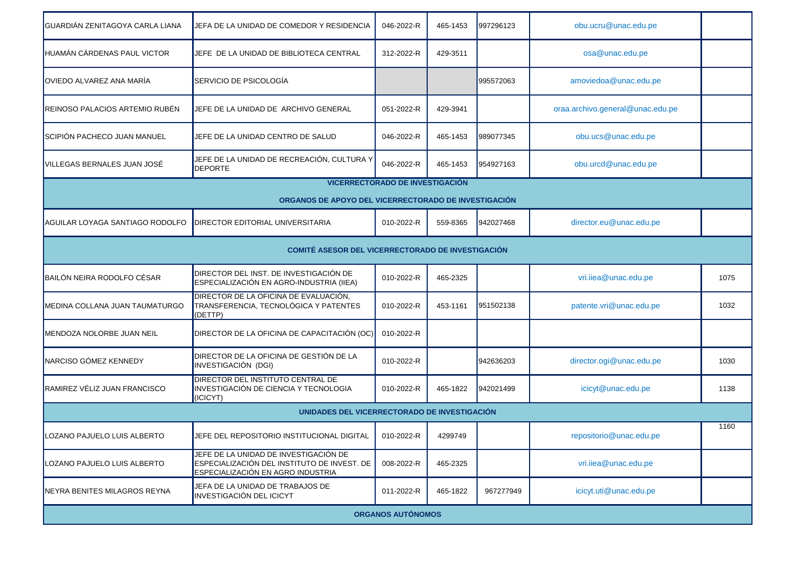| GUARDIÁN ZENITAGOYA CARLA LIANA | JEFA DE LA UNIDAD DE COMEDOR Y RESIDENCIA                                                                                 | 046-2022-R               | 465-1453 | 997296123 | obu.ucru@unac.edu.pe             |      |  |  |  |  |
|---------------------------------|---------------------------------------------------------------------------------------------------------------------------|--------------------------|----------|-----------|----------------------------------|------|--|--|--|--|
| HUAMÁN CÁRDENAS PAUL VICTOR     | JEFE DE LA UNIDAD DE BIBLIOTECA CENTRAL                                                                                   | 312-2022-R               | 429-3511 |           | osa@unac.edu.pe                  |      |  |  |  |  |
| OVIEDO ALVAREZ ANA MARÍA        | SERVICIO DE PSICOLOGÍA                                                                                                    |                          |          | 995572063 | amoviedoa@unac.edu.pe            |      |  |  |  |  |
| REINOSO PALACIOS ARTEMIO RUBÉN  | JEFE DE LA UNIDAD DE ARCHIVO GENERAL                                                                                      | 051-2022-R               | 429-3941 |           | oraa.archivo.general@unac.edu.pe |      |  |  |  |  |
| SCIPIÓN PACHECO JUAN MANUEL     | JEFE DE LA UNIDAD CENTRO DE SALUD                                                                                         | 046-2022-R               | 465-1453 | 989077345 | obu.ucs@unac.edu.pe              |      |  |  |  |  |
| VILLEGAS BERNALES JUAN JOSÉ     | JEFE DE LA UNIDAD DE RECREACIÓN, CULTURA Y<br><b>DEPORTE</b>                                                              | 046-2022-R               | 465-1453 | 954927163 | obu.urcd@unac.edu.pe             |      |  |  |  |  |
|                                 | <b>VICERRECTORADO DE INVESTIGACIÓN</b>                                                                                    |                          |          |           |                                  |      |  |  |  |  |
|                                 | ORGANOS DE APOYO DEL VICERRECTORADO DE INVESTIGACIÓN                                                                      |                          |          |           |                                  |      |  |  |  |  |
| AGUILAR LOYAGA SANTIAGO RODOLFO | <b>DIRECTOR EDITORIAL UNIVERSITARIA</b>                                                                                   | 010-2022-R               | 559-8365 | 942027468 | director.eu@unac.edu.pe          |      |  |  |  |  |
|                                 | <b>COMITÉ ASESOR DEL VICERRECTORADO DE INVESTIGACIÓN</b>                                                                  |                          |          |           |                                  |      |  |  |  |  |
| BAILÓN NEIRA RODOLFO CÉSAR      | DIRECTOR DEL INST. DE INVESTIGACIÓN DE<br>ESPECIALIZACIÓN EN AGRO-INDUSTRIA (IIEA)                                        | 010-2022-R               | 465-2325 |           | vri.iiea@unac.edu.pe             | 1075 |  |  |  |  |
| MEDINA COLLANA JUAN TAUMATURGO  | DIRECTOR DE LA OFICINA DE EVALUACIÓN,<br>TRANSFERENCIA, TECNOLÓGICA Y PATENTES<br>(DETTP)                                 | 010-2022-R               | 453-1161 | 951502138 | patente.vri@unac.edu.pe          | 1032 |  |  |  |  |
| MENDOZA NOLORBE JUAN NEIL       | DIRECTOR DE LA OFICINA DE CAPACITACIÓN (OC)                                                                               | 010-2022-R               |          |           |                                  |      |  |  |  |  |
| NARCISO GÓMEZ KENNEDY           | DIRECTOR DE LA OFICINA DE GESTIÓN DE LA<br>INVESTIGACIÓN (DGI)                                                            | 010-2022-R               |          | 942636203 | director.ogi@unac.edu.pe         | 1030 |  |  |  |  |
| RAMIREZ VÉLIZ JUAN FRANCISCO    | <b>DIRECTOR DEL INSTITUTO CENTRAL DE</b><br>INVESTIGACIÓN DE CIENCIA Y TECNOLOGIA<br>(ICICYT)                             | 010-2022-R               | 465-1822 | 942021499 | icicyt@unac.edu.pe               | 1138 |  |  |  |  |
|                                 | UNIDADES DEL VICERRECTORADO DE INVESTIGACIÓN                                                                              |                          |          |           |                                  |      |  |  |  |  |
| OZANO PAJUELO LUIS ALBERTO      | JEFE DEL REPOSITORIO INSTITUCIONAL DIGITAL                                                                                | 010-2022-R               | 4299749  |           | repositorio@unac.edu.pe          | 1160 |  |  |  |  |
| LOZANO PAJUELO LUIS ALBERTO     | JEFE DE LA UNIDAD DE INVESTIGACIÓN DE<br>ESPECIALIZACIÓN DEL INSTITUTO DE INVEST. DE<br>ESPECIALIZACIÓN EN AGRO INDUSTRIA | 008-2022-R               | 465-2325 |           | vri.iiea@unac.edu.pe             |      |  |  |  |  |
| NEYRA BENITES MILAGROS REYNA    | JEFA DE LA UNIDAD DE TRABAJOS DE<br><b>INVESTIGACIÓN DEL ICICYT</b>                                                       | 011-2022-R               | 465-1822 | 967277949 | icicyt.uti@unac.edu.pe           |      |  |  |  |  |
|                                 |                                                                                                                           | <b>ORGANOS AUTÓNOMOS</b> |          |           |                                  |      |  |  |  |  |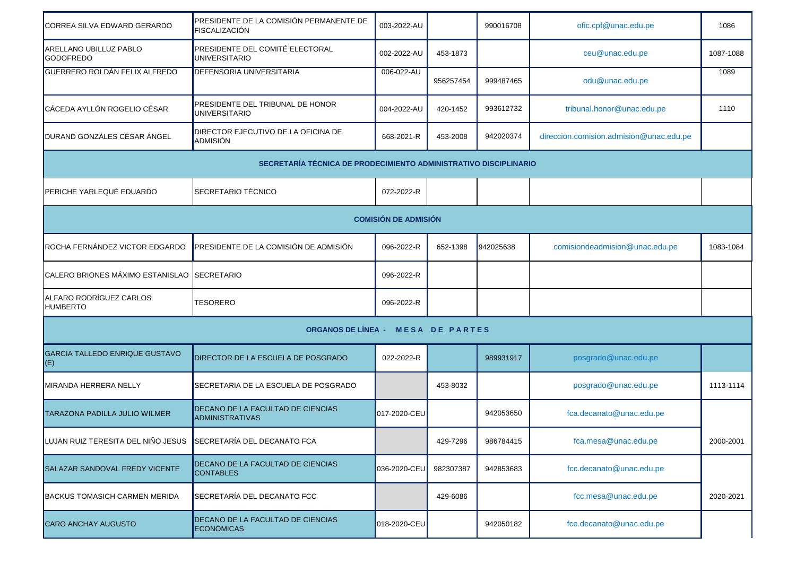| CORREA SILVA EDWARD GERARDO                                      | PRESIDENTE DE LA COMISIÓN PERMANENTE DE<br>FISCALIZACIÓN    | 003-2022-AU  |           | 990016708 | ofic.cpf@unac.edu.pe                    | 1086      |  |  |  |
|------------------------------------------------------------------|-------------------------------------------------------------|--------------|-----------|-----------|-----------------------------------------|-----------|--|--|--|
| ARELLANO UBILLUZ PABLO<br><b>GODOFREDO</b>                       | PRESIDENTE DEL COMITÉ ELECTORAL<br><b>UNIVERSITARIO</b>     | 002-2022-AU  | 453-1873  |           | ceu@unac.edu.pe                         | 1087-1088 |  |  |  |
| <b>GUERRERO ROLDÁN FELIX ALFREDO</b>                             | <b>DEFENSORIA UNIVERSITARIA</b>                             | 006-022-AU   | 956257454 | 999487465 | odu@unac.edu.pe                         | 1089      |  |  |  |
| CÁCEDA AYLLÓN ROGELIO CÉSAR                                      | PRESIDENTE DEL TRIBUNAL DE HONOR<br>UNIVERSITARIO           | 004-2022-AU  | 420-1452  | 993612732 | tribunal.honor@unac.edu.pe              | 1110      |  |  |  |
| DURAND GONZÁLES CÉSAR ÁNGEL                                      | DIRECTOR EJECUTIVO DE LA OFICINA DE<br>ADMISIÓN             | 668-2021-R   | 453-2008  | 942020374 | direccion.comision.admision@unac.edu.pe |           |  |  |  |
| SECRETARÍA TÉCNICA DE PRODECIMIENTO ADMINISTRATIVO DISCIPLINARIO |                                                             |              |           |           |                                         |           |  |  |  |
| PERICHE YARLEQUÉ EDUARDO                                         | SECRETARIO TÉCNICO                                          | 072-2022-R   |           |           |                                         |           |  |  |  |
| <b>COMISIÓN DE ADMISIÓN</b>                                      |                                                             |              |           |           |                                         |           |  |  |  |
| ROCHA FERNÁNDEZ VICTOR EDGARDO                                   | PRESIDENTE DE LA COMISIÓN DE ADMISIÓN                       | 096-2022-R   | 652-1398  | 942025638 | comisiondeadmision@unac.edu.pe          | 1083-1084 |  |  |  |
| CALERO BRIONES MÁXIMO ESTANISLAO SECRETARIO                      |                                                             | 096-2022-R   |           |           |                                         |           |  |  |  |
| ALFARO RODRÍGUEZ CARLOS<br><b>HUMBERTO</b>                       | <b>TESORERO</b>                                             | 096-2022-R   |           |           |                                         |           |  |  |  |
|                                                                  | ORGANOS DE LÍNEA - MESA DE PARTES                           |              |           |           |                                         |           |  |  |  |
| <b>GARCIA TALLEDO ENRIQUE GUSTAVO</b><br>(E)                     | DIRECTOR DE LA ESCUELA DE POSGRADO                          | 022-2022-R   |           | 989931917 | posgrado@unac.edu.pe                    |           |  |  |  |
| <b>MIRANDA HERRERA NELLY</b>                                     | SECRETARIA DE LA ESCUELA DE POSGRADO                        |              | 453-8032  |           | posgrado@unac.edu.pe                    | 1113-1114 |  |  |  |
| TARAZONA PADILLA JULIO WILMER                                    | DECANO DE LA FACULTAD DE CIENCIAS<br><b>ADMINISTRATIVAS</b> | 017-2020-CEU |           | 942053650 | fca.decanato@unac.edu.pe                |           |  |  |  |
| LUJAN RUIZ TERESITA DEL NIÑO JESUS SECRETARÍA DEL DECANATO FCA   |                                                             |              | 429-7296  | 986784415 | fca.mesa@unac.edu.pe                    | 2000-2001 |  |  |  |
| SALAZAR SANDOVAL FREDY VICENTE                                   | DECANO DE LA FACULTAD DE CIENCIAS<br><b>CONTABLES</b>       | 036-2020-CEU | 982307387 | 942853683 | fcc.decanato@unac.edu.pe                |           |  |  |  |
| <b>BACKUS TOMASICH CARMEN MERIDA</b>                             | SECRETARÍA DEL DECANATO FCC                                 |              | 429-6086  |           | fcc.mesa@unac.edu.pe                    | 2020-2021 |  |  |  |
| CARO ANCHAY AUGUSTO                                              | DECANO DE LA FACULTAD DE CIENCIAS<br><b>ECONÓMICAS</b>      | 018-2020-CEU |           | 942050182 | fce.decanato@unac.edu.pe                |           |  |  |  |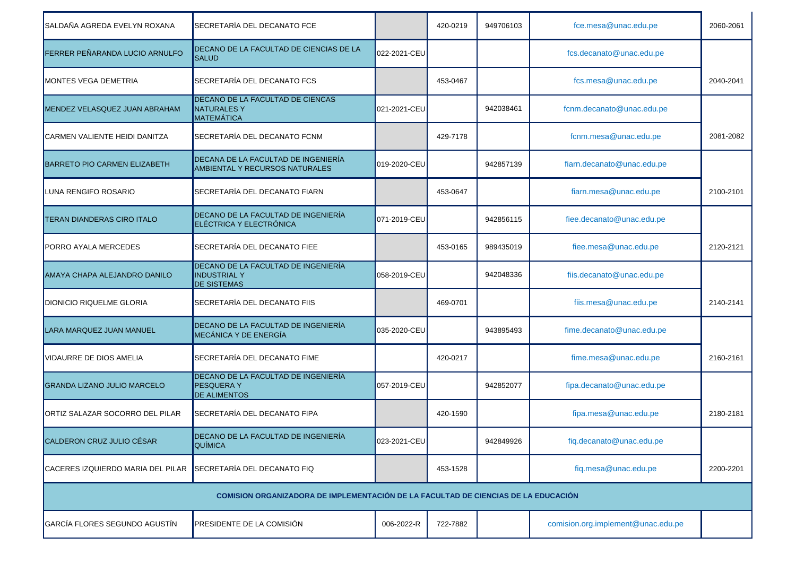| SALDAÑA AGREDA EVELYN ROXANA        | SECRETARÍA DEL DECANATO FCE                                                               |                       | 420-0219 | 949706103 | fce.mesa@unac.edu.pe               | 2060-2061 |  |  |
|-------------------------------------|-------------------------------------------------------------------------------------------|-----------------------|----------|-----------|------------------------------------|-----------|--|--|
| FERRER PEÑARANDA LUCIO ARNULFO      | DECANO DE LA FACULTAD DE CIENCIAS DE LA<br><b>SALUD</b>                                   | 022-2021-CEU          |          |           | fcs.decanato@unac.edu.pe           |           |  |  |
| <b>MONTES VEGA DEMETRIA</b>         | SECRETARÍA DEL DECANATO FCS                                                               |                       | 453-0467 |           | fcs.mesa@unac.edu.pe               | 2040-2041 |  |  |
| MENDEZ VELASQUEZ JUAN ABRAHAM       | DECANO DE LA FACULTAD DE CIENCAS<br><b>NATURALESY</b><br>MATEMÁTICA                       | 021-2021-CEU          |          | 942038461 | fcnm.decanato@unac.edu.pe          |           |  |  |
| CARMEN VALIENTE HEIDI DANITZA       | SECRETARÍA DEL DECANATO FCNM                                                              |                       | 429-7178 |           | fcnm.mesa@unac.edu.pe              | 2081-2082 |  |  |
| <b>BARRETO PIO CARMEN ELIZABETH</b> | DECANA DE LA FACULTAD DE INGENIERÍA<br><b>AMBIENTAL Y RECURSOS NATURALES</b>              | 019-2020-CEU          |          | 942857139 | fiarn.decanato@unac.edu.pe         |           |  |  |
| LUNA RENGIFO ROSARIO                | SECRETARÍA DEL DECANATO FIARN                                                             |                       | 453-0647 |           | fiarn.mesa@unac.edu.pe             | 2100-2101 |  |  |
| <b>TERAN DIANDERAS CIRO ITALO</b>   | DECANO DE LA FACULTAD DE INGENIERÍA<br>ELÉCTRICA Y ELECTRÓNICA                            | 071-2019-CEU          |          | 942856115 | fiee.decanato@unac.edu.pe          |           |  |  |
| <b>PORRO AYALA MERCEDES</b>         | SECRETARÍA DEL DECANATO FIEE                                                              |                       | 453-0165 | 989435019 | fiee.mesa@unac.edu.pe              | 2120-2121 |  |  |
| AMAYA CHAPA ALEJANDRO DANILO        | DECANO DE LA FACULTAD DE INGENIERÍA<br><b>INDUSTRIAL Y</b><br><b>DE SISTEMAS</b>          | 058-2019-CEU          |          | 942048336 | fiis.decanato@unac.edu.pe          |           |  |  |
| <b>DIONICIO RIQUELME GLORIA</b>     | SECRETARÍA DEL DECANATO FIIS                                                              |                       | 469-0701 |           | fiis.mesa@unac.edu.pe              | 2140-2141 |  |  |
| LARA MARQUEZ JUAN MANUEL            | DECANO DE LA FACULTAD DE INGENIERÍA<br>MECÁNICA Y DE ENERGÍA                              | 035-2020-CEU <b>I</b> |          | 943895493 | fime.decanato@unac.edu.pe          |           |  |  |
| <b>VIDAURRE DE DIOS AMELIA</b>      | SECRETARÍA DEL DECANATO FIME                                                              |                       | 420-0217 |           | fime.mesa@unac.edu.pe              | 2160-2161 |  |  |
| <b>GRANDA LIZANO JULIO MARCELO</b>  | DECANO DE LA FACULTAD DE INGENIERÍA<br><b>PESQUERAY</b><br><b>DE ALIMENTOS</b>            | 057-2019-CEU          |          | 942852077 | fipa.decanato@unac.edu.pe          |           |  |  |
| IORTIZ SALAZAR SOCORRO DEL PILAR    | SECRETARÍA DEL DECANATO FIPA                                                              |                       | 420-1590 |           | fipa.mesa@unac.edu.pe              | 2180-2181 |  |  |
| CALDERON CRUZ JULIO CÉSAR           | DECANO DE LA FACULTAD DE INGENIERÍA<br>QUÍMICA                                            | 023-2021-CEU          |          | 942849926 | fig.decanato@unac.edu.pe           |           |  |  |
| CACERES IZQUIERDO MARIA DEL PILAR   | SECRETARÍA DEL DECANATO FIQ                                                               |                       | 453-1528 |           | fiq.mesa@unac.edu.pe               | 2200-2201 |  |  |
|                                     | <b>COMISION ORGANIZADORA DE IMPLEMENTACIÓN DE LA FACULTAD DE CIENCIAS DE LA EDUCACIÓN</b> |                       |          |           |                                    |           |  |  |
| GARCÍA FLORES SEGUNDO AGUSTÍN       | PRESIDENTE DE LA COMISIÓN                                                                 | 006-2022-R            | 722-7882 |           | comision.org.implement@unac.edu.pe |           |  |  |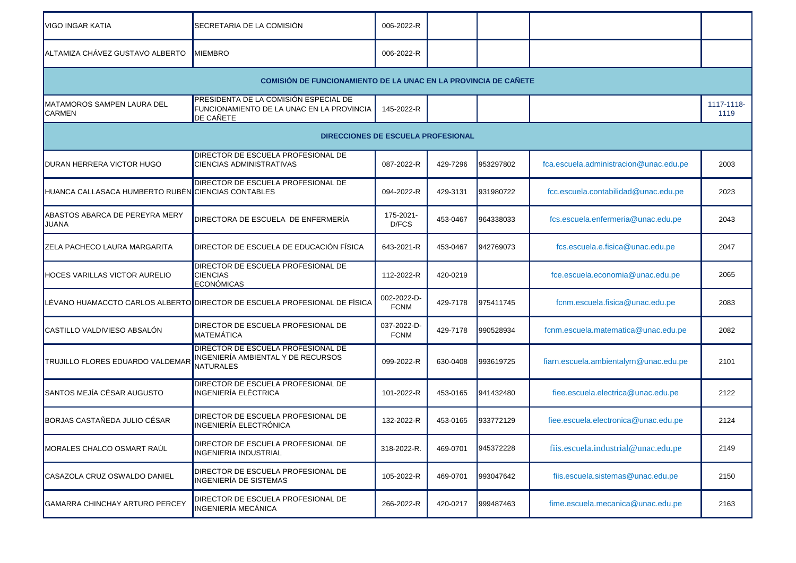| VIGO INGAR KATIA                                                       | SECRETARIA DE LA COMISIÓN                                                                                     | 006-2022-R                 |          |           |                                        |                    |  |  |  |  |
|------------------------------------------------------------------------|---------------------------------------------------------------------------------------------------------------|----------------------------|----------|-----------|----------------------------------------|--------------------|--|--|--|--|
| ALTAMIZA CHÁVEZ GUSTAVO ALBERTO                                        | <b>IMIEMBRO</b>                                                                                               | 006-2022-R                 |          |           |                                        |                    |  |  |  |  |
| <b>COMISIÓN DE FUNCIONAMIENTO DE LA UNAC EN LA PROVINCIA DE CAÑETE</b> |                                                                                                               |                            |          |           |                                        |                    |  |  |  |  |
| IMATAMOROS SAMPEN LAURA DEL<br>CARMEN                                  | <b>PRESIDENTA DE LA COMISIÓN ESPECIAL DE</b><br>FUNCIONAMIENTO DE LA UNAC EN LA PROVINCIA<br><b>DE CAÑETE</b> | 145-2022-R                 |          |           |                                        | 1117-1118-<br>1119 |  |  |  |  |
|                                                                        | DIRECCIONES DE ESCUELA PROFESIONAL                                                                            |                            |          |           |                                        |                    |  |  |  |  |
| DURAN HERRERA VICTOR HUGO                                              | DIRECTOR DE ESCUELA PROFESIONAL DE<br><b>CIENCIAS ADMINISTRATIVAS</b>                                         | 087-2022-R                 | 429-7296 | 953297802 | fca.escuela.administracion@unac.edu.pe | 2003               |  |  |  |  |
| HUANCA CALLASACA HUMBERTO RUBÉN CIENCIAS CONTABLES                     | DIRECTOR DE ESCUELA PROFESIONAL DE                                                                            | 094-2022-R                 | 429-3131 | 931980722 | fcc.escuela.contabilidad@unac.edu.pe   | 2023               |  |  |  |  |
| ABASTOS ABARCA DE PEREYRA MERY<br>JUANA                                | DIRECTORA DE ESCUELA DE ENFERMERÍA                                                                            | 175-2021-<br>D/FCS         | 453-0467 | 964338033 | fcs.escuela.enfermeria@unac.edu.pe     | 2043               |  |  |  |  |
| ZELA PACHECO LAURA MARGARITA                                           | <b>IDIRECTOR DE ESCUELA DE EDUCACIÓN FÍSICA</b>                                                               | 643-2021-R                 | 453-0467 | 942769073 | fcs.escuela.e.fisica@unac.edu.pe       | 2047               |  |  |  |  |
| <b>HOCES VARILLAS VICTOR AURELIO</b>                                   | DIRECTOR DE ESCUELA PROFESIONAL DE<br><b>CIENCIAS</b><br>ECONÓMICAS                                           | 112-2022-R                 | 420-0219 |           | fce.escuela.economia@unac.edu.pe       | 2065               |  |  |  |  |
|                                                                        | LÉVANO HUAMACCTO CARLOS ALBERTO DIRECTOR DE ESCUELA PROFESIONAL DE FÍSICA                                     | 002-2022-D-<br><b>FCNM</b> | 429-7178 | 975411745 | fcnm.escuela.fisica@unac.edu.pe        | 2083               |  |  |  |  |
| CASTILLO VALDIVIESO ABSALÓN                                            | DIRECTOR DE ESCUELA PROFESIONAL DE<br>MATEMÁTICA                                                              | 037-2022-D-<br><b>FCNM</b> | 429-7178 | 990528934 | fcnm.escuela.matematica@unac.edu.pe    | 2082               |  |  |  |  |
| TRUJILLO FLORES EDUARDO VALDEMAR                                       | <b>DIRECTOR DE ESCUELA PROFESIONAL DE</b><br>INGENIERÍA AMBIENTAL Y DE RECURSOS<br><b>NATURALES</b>           | 099-2022-R                 | 630-0408 | 993619725 | fiarn.escuela.ambientalyrn@unac.edu.pe | 2101               |  |  |  |  |
| SANTOS MEJÍA CÉSAR AUGUSTO                                             | DIRECTOR DE ESCUELA PROFESIONAL DE<br>INGENIERÍA ELÉCTRICA                                                    | 101-2022-R                 | 453-0165 | 941432480 | fiee.escuela.electrica@unac.edu.pe     | 2122               |  |  |  |  |
| BORJAS CASTAÑEDA JULIO CÉSAR                                           | <b>DIRECTOR DE ESCUELA PROFESIONAL DE</b><br>INGENIERÍA ELECTRÓNICA                                           | 132-2022-R                 | 453-0165 | 933772129 | fiee.escuela.electronica@unac.edu.pe   | 2124               |  |  |  |  |
| MORALES CHALCO OSMART RAUL                                             | DIRECTOR DE ESCUELA PROFESIONAL DE<br><b>INGENIERIA INDUSTRIAL</b>                                            | 318-2022-R.                | 469-0701 | 945372228 | fiis.escuela.industrial@unac.edu.pe    | 2149               |  |  |  |  |
| CASAZOLA CRUZ OSWALDO DANIEL                                           | DIRECTOR DE ESCUELA PROFESIONAL DE<br>INGENIERÍA DE SISTEMAS                                                  | 105-2022-R                 | 469-0701 | 993047642 | fiis.escuela.sistemas@unac.edu.pe      | 2150               |  |  |  |  |
| GAMARRA CHINCHAY ARTURO PERCEY                                         | DIRECTOR DE ESCUELA PROFESIONAL DE<br>INGENIERÍA MECÁNICA                                                     | 266-2022-R                 | 420-0217 | 999487463 | fime.escuela.mecanica@unac.edu.pe      | 2163               |  |  |  |  |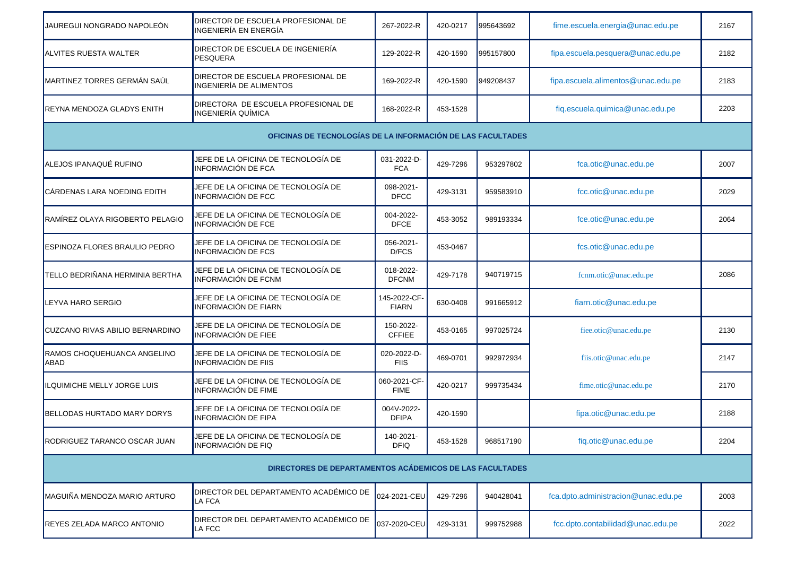| JAUREGUI NONGRADO NAPOLEÓN                               | DIRECTOR DE ESCUELA PROFESIONAL DE<br>INGENIERÍA EN ENERGÍA       | 267-2022-R                   | 420-0217 | 995643692 | fime.escuela.energia@unac.edu.pe    | 2167 |  |  |
|----------------------------------------------------------|-------------------------------------------------------------------|------------------------------|----------|-----------|-------------------------------------|------|--|--|
| ALVITES RUESTA WALTER                                    | DIRECTOR DE ESCUELA DE INGENIERÍA<br><b>PESQUERA</b>              | 129-2022-R                   | 420-1590 | 995157800 | fipa.escuela.pesquera@unac.edu.pe   | 2182 |  |  |
| MARTINEZ TORRES GERMÁN SAÚL                              | DIRECTOR DE ESCUELA PROFESIONAL DE<br>INGENIERÍA DE ALIMENTOS     | 169-2022-R                   | 420-1590 | 949208437 | fipa.escuela.alimentos@unac.edu.pe  | 2183 |  |  |
| REYNA MENDOZA GLADYS ENITH                               | DIRECTORA DE ESCUELA PROFESIONAL DE<br>INGENIERÍA QUÍMICA         | 168-2022-R                   | 453-1528 |           | fiq.escuela.quimica@unac.edu.pe     | 2203 |  |  |
|                                                          | OFICINAS DE TECNOLOGÍAS DE LA INFORMACIÓN DE LAS FACULTADES       |                              |          |           |                                     |      |  |  |
| ALEJOS IPANAQUÉ RUFINO                                   | JEFE DE LA OFICINA DE TECNOLOGÍA DE<br>INFORMACIÓN DE FCA         | 031-2022-D-<br><b>FCA</b>    | 429-7296 | 953297802 | fca.otic@unac.edu.pe                | 2007 |  |  |
| CÁRDENAS LARA NOEDING EDITH                              | JEFE DE LA OFICINA DE TECNOLOGÍA DE<br>INFORMACIÓN DE FCC         | 098-2021-<br><b>DFCC</b>     | 429-3131 | 959583910 | fcc.otic@unac.edu.pe                | 2029 |  |  |
| RAMÍREZ OLAYA RIGOBERTO PELAGIO                          | JEFE DE LA OFICINA DE TECNOLOGÍA DE<br><b>INFORMACIÓN DE FCE</b>  | 004-2022-<br><b>DFCE</b>     | 453-3052 | 989193334 | fce.otic@unac.edu.pe                | 2064 |  |  |
| ESPINOZA FLORES BRAULIO PEDRO                            | JEFE DE LA OFICINA DE TECNOLOGÍA DE<br><b>INFORMACIÓN DE FCS</b>  | 056-2021-<br>D/FCS           | 453-0467 |           | fcs.otic@unac.edu.pe                |      |  |  |
| TELLO BEDRIÑANA HERMINIA BERTHA                          | JEFE DE LA OFICINA DE TECNOLOGÍA DE<br>INFORMACIÓN DE FCNM        | 018-2022-<br><b>DFCNM</b>    | 429-7178 | 940719715 | fcnm.otic@unac.edu.pe               | 2086 |  |  |
| LEYVA HARO SERGIO                                        | JEFE DE LA OFICINA DE TECNOLOGÍA DE<br>INFORMACIÓN DE FIARN       | 145-2022-CF-<br><b>FIARN</b> | 630-0408 | 991665912 | fiarn.otic@unac.edu.pe              |      |  |  |
| CUZCANO RIVAS ABILIO BERNARDINO                          | JEFE DE LA OFICINA DE TECNOLOGÍA DE<br>INFORMACIÓN DE FIEE        | 150-2022-<br><b>CFFIEE</b>   | 453-0165 | 997025724 | fiee.otic@unac.edu.pe               | 2130 |  |  |
| RAMOS CHOQUEHUANCA ANGELINO<br>ABAD                      | JEFE DE LA OFICINA DE TECNOLOGÍA DE<br><b>INFORMACIÓN DE FIIS</b> | 020-2022-D-<br><b>FIIS</b>   | 469-0701 | 992972934 | fiis.otic@unac.edu.pe               | 2147 |  |  |
| <b>LQUIMICHE MELLY JORGE LUIS</b>                        | JEFE DE LA OFICINA DE TECNOLOGÍA DE<br>INFORMACIÓN DE FIME        | 060-2021-CF-<br><b>FIME</b>  | 420-0217 | 999735434 | fime.otic@unac.edu.pe               | 2170 |  |  |
| BELLODAS HURTADO MARY DORYS                              | JEFE DE LA OFICINA DE TECNOLOGÍA DE<br>INFORMACIÓN DE FIPA        | 004V-2022-<br><b>DFIPA</b>   | 420-1590 |           | fipa.otic@unac.edu.pe               | 2188 |  |  |
| RODRIGUEZ TARANCO OSCAR JUAN                             | JEFE DE LA OFICINA DE TECNOLOGÍA DE<br><b>INFORMACIÓN DE FIQ</b>  | 140-2021-<br><b>DFIQ</b>     | 453-1528 | 968517190 | fiq.otic@unac.edu.pe                | 2204 |  |  |
| DIRECTORES DE DEPARTAMENTOS ACÁDEMICOS DE LAS FACULTADES |                                                                   |                              |          |           |                                     |      |  |  |
| MAGUIÑA MENDOZA MARIO ARTURO                             | DIRECTOR DEL DEPARTAMENTO ACADÉMICO DE<br>LA FCA                  | 024-2021-CEU                 | 429-7296 | 940428041 | fca.dpto.administracion@unac.edu.pe | 2003 |  |  |
| REYES ZELADA MARCO ANTONIO                               | DIRECTOR DEL DEPARTAMENTO ACADÉMICO DE<br>LA FCC                  | 037-2020-CEU                 | 429-3131 | 999752988 | fcc.dpto.contabilidad@unac.edu.pe   | 2022 |  |  |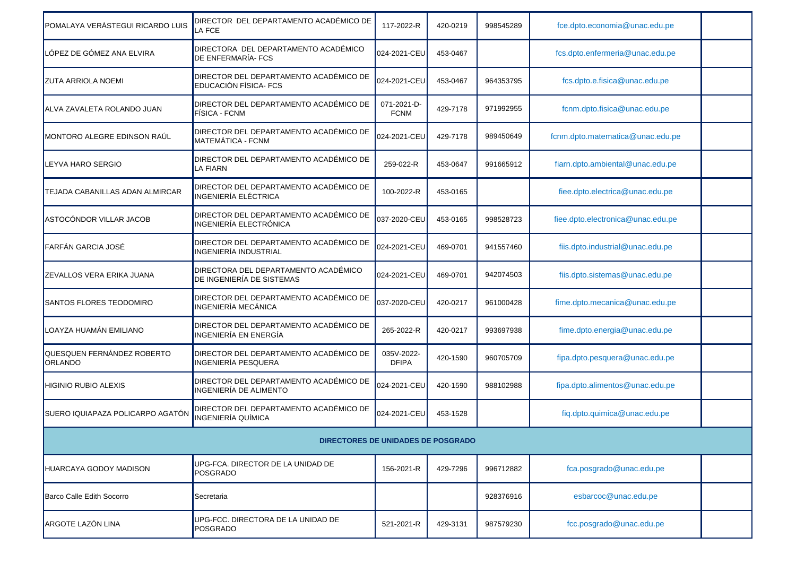| POMALAYA VERÁSTEGUI RICARDO LUIS             | DIRECTOR DEL DEPARTAMENTO ACADÉMICO DE<br><b>LA FCE</b>                 | 117-2022-R                 | 420-0219 | 998545289 | fce.dpto.economia@unac.edu.pe     |  |
|----------------------------------------------|-------------------------------------------------------------------------|----------------------------|----------|-----------|-----------------------------------|--|
| LÓPEZ DE GÓMEZ ANA ELVIRA                    | DIRECTORA DEL DEPARTAMENTO ACADÉMICO<br><b>DE ENFERMARÍA-FCS</b>        | 024-2021-CEU               | 453-0467 |           | fcs.dpto.enfermeria@unac.edu.pe   |  |
| <b>ZUTA ARRIOLA NOEMI</b>                    | DIRECTOR DEL DEPARTAMENTO ACADÉMICO DE<br>EDUCACIÓN FÍSICA- FCS         | 024-2021-CEU               | 453-0467 | 964353795 | fcs.dpto.e.fisica@unac.edu.pe     |  |
| ALVA ZAVALETA ROLANDO JUAN                   | DIRECTOR DEL DEPARTAMENTO ACADÉMICO DE<br>FÍSICA - FCNM                 | 071-2021-D-<br><b>FCNM</b> | 429-7178 | 971992955 | fcnm.dpto.fisica@unac.edu.pe      |  |
| MONTORO ALEGRE EDINSON RAUL                  | DIRECTOR DEL DEPARTAMENTO ACADÉMICO DE<br>MATEMÁTICA - FCNM             | 024-2021-CEU               | 429-7178 | 989450649 | fcnm.dpto.matematica@unac.edu.pe  |  |
| LEYVA HARO SERGIO                            | <b>IDIRECTOR DEL DEPARTAMENTO ACADÉMICO DE</b><br>LA FIARN              | 259-022-R                  | 453-0647 | 991665912 | fiarn.dpto.ambiental@unac.edu.pe  |  |
| TEJADA CABANILLAS ADAN ALMIRCAR              | DIRECTOR DEL DEPARTAMENTO ACADÉMICO DE<br><b>INGENIERÍA ELÉCTRICA</b>   | 100-2022-R                 | 453-0165 |           | fiee.dpto.electrica@unac.edu.pe   |  |
| ASTOCÓNDOR VILLAR JACOB                      | DIRECTOR DEL DEPARTAMENTO ACADÉMICO DE<br><b>INGENIERÍA ELECTRÓNICA</b> | 037-2020-CEU               | 453-0165 | 998528723 | fiee.dpto.electronica@unac.edu.pe |  |
| FARFÁN GARCIA JOSÉ                           | DIRECTOR DEL DEPARTAMENTO ACADÉMICO DE<br><b>INGENIERÍA INDUSTRIAL</b>  | 024-2021-CEU               | 469-0701 | 941557460 | fiis.dpto.industrial@unac.edu.pe  |  |
| ZEVALLOS VERA ERIKA JUANA                    | DIRECTORA DEL DEPARTAMENTO ACADÉMICO<br>DE INGENIERÍA DE SISTEMAS       | 024-2021-CEU               | 469-0701 | 942074503 | fiis.dpto.sistemas@unac.edu.pe    |  |
| <b>SANTOS FLORES TEODOMIRO</b>               | DIRECTOR DEL DEPARTAMENTO ACADÉMICO DE<br><b>INGENIERÍA MECÁNICA</b>    | 037-2020-CEU               | 420-0217 | 961000428 | fime.dpto.mecanica@unac.edu.pe    |  |
| LOAYZA HUAMÁN EMILIANO                       | DIRECTOR DEL DEPARTAMENTO ACADÉMICO DE<br><b>INGENIERÍA EN ENERGÍA</b>  | 265-2022-R                 | 420-0217 | 993697938 | fime.dpto.energia@unac.edu.pe     |  |
| QUESQUEN FERNÁNDEZ ROBERTO<br><b>ORLANDO</b> | DIRECTOR DEL DEPARTAMENTO ACADÉMICO DE<br><b>INGENIERÍA PESQUERA</b>    | 035V-2022-<br><b>DFIPA</b> | 420-1590 | 960705709 | fipa.dpto.pesquera@unac.edu.pe    |  |
| <b>HIGINIO RUBIO ALEXIS</b>                  | DIRECTOR DEL DEPARTAMENTO ACADÉMICO DE<br><b>INGENIERÍA DE ALIMENTO</b> | 024-2021-CEU               | 420-1590 | 988102988 | fipa.dpto.alimentos@unac.edu.pe   |  |
| SUERO IQUIAPAZA POLICARPO AGATÓN             | DIRECTOR DEL DEPARTAMENTO ACADÉMICO DE<br><b>INGENIERÍA QUÍMICA</b>     | 024-2021-CEU               | 453-1528 |           | fiq.dpto.quimica@unac.edu.pe      |  |
|                                              | DIRECTORES DE UNIDADES DE POSGRADO                                      |                            |          |           |                                   |  |
| HUARCAYA GODOY MADISON                       | UPG-FCA. DIRECTOR DE LA UNIDAD DE<br>POSGRADO                           | 156-2021-R                 | 429-7296 | 996712882 | fca.posgrado@unac.edu.pe          |  |
| Barco Calle Edith Socorro                    | Secretaria                                                              |                            |          | 928376916 | esbarcoc@unac.edu.pe              |  |
| ARGOTE LAZÓN LINA                            | UPG-FCC. DIRECTORA DE LA UNIDAD DE<br>POSGRADO                          | 521-2021-R                 | 429-3131 | 987579230 | fcc.posgrado@unac.edu.pe          |  |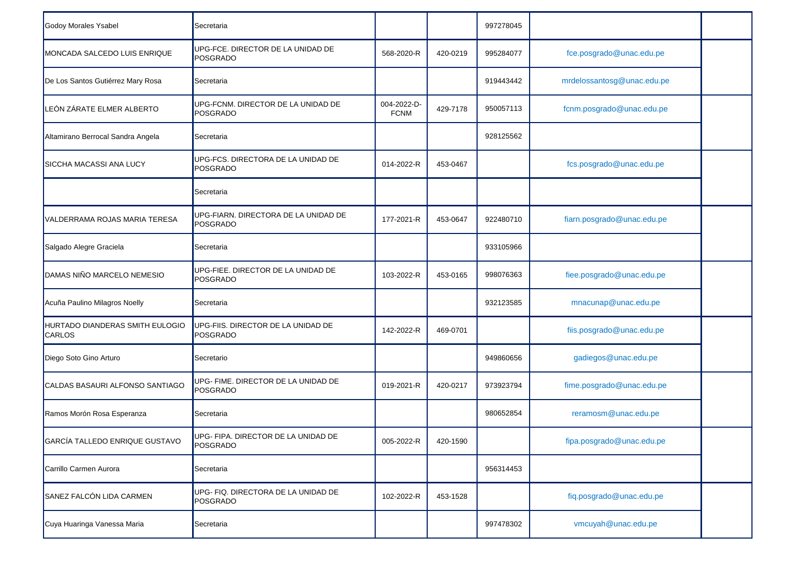| <b>Godoy Morales Ysabel</b>               | Secretaria                                       |                            |          | 997278045 |                            |  |
|-------------------------------------------|--------------------------------------------------|----------------------------|----------|-----------|----------------------------|--|
| MONCADA SALCEDO LUIS ENRIQUE              | UPG-FCE. DIRECTOR DE LA UNIDAD DE<br>POSGRADO    | 568-2020-R                 | 420-0219 | 995284077 | fce.posgrado@unac.edu.pe   |  |
| De Los Santos Gutiérrez Mary Rosa         | Secretaria                                       |                            |          | 919443442 | mrdelossantosg@unac.edu.pe |  |
| LEÓN ZÁRATE ELMER ALBERTO                 | UPG-FCNM. DIRECTOR DE LA UNIDAD DE<br>POSGRADO   | 004-2022-D-<br><b>FCNM</b> | 429-7178 | 950057113 | fcnm.posgrado@unac.edu.pe  |  |
| Altamirano Berrocal Sandra Angela         | Secretaria                                       |                            |          | 928125562 |                            |  |
| SICCHA MACASSI ANA LUCY                   | UPG-FCS. DIRECTORA DE LA UNIDAD DE<br>POSGRADO   | 014-2022-R                 | 453-0467 |           | fcs.posgrado@unac.edu.pe   |  |
|                                           | Secretaria                                       |                            |          |           |                            |  |
| VALDERRAMA ROJAS MARIA TERESA             | UPG-FIARN, DIRECTORA DE LA UNIDAD DE<br>POSGRADO | 177-2021-R                 | 453-0647 | 922480710 | fiarn.posgrado@unac.edu.pe |  |
| Salgado Alegre Graciela                   | Secretaria                                       |                            |          | 933105966 |                            |  |
| DAMAS NIÑO MARCELO NEMESIO                | UPG-FIEE, DIRECTOR DE LA UNIDAD DE<br>POSGRADO   | 103-2022-R                 | 453-0165 | 998076363 | fiee.posgrado@unac.edu.pe  |  |
| Acuña Paulino Milagros Noelly             | Secretaria                                       |                            |          | 932123585 | mnacunap@unac.edu.pe       |  |
| HURTADO DIANDERAS SMITH EULOGIO<br>CARLOS | UPG-FIIS. DIRECTOR DE LA UNIDAD DE<br>POSGRADO   | 142-2022-R                 | 469-0701 |           | fiis.posgrado@unac.edu.pe  |  |
| Diego Soto Gino Arturo                    | Secretario                                       |                            |          | 949860656 | gadiegos@unac.edu.pe       |  |
| CALDAS BASAURI ALFONSO SANTIAGO           | UPG- FIME. DIRECTOR DE LA UNIDAD DE<br>POSGRADO  | 019-2021-R                 | 420-0217 | 973923794 | fime.posgrado@unac.edu.pe  |  |
| Ramos Morón Rosa Esperanza                | Secretaria                                       |                            |          | 980652854 | reramosm@unac.edu.pe       |  |
| GARCÍA TALLEDO ENRIQUE GUSTAVO            | UPG- FIPA. DIRECTOR DE LA UNIDAD DE<br>POSGRADO  | 005-2022-R                 | 420-1590 |           | fipa.posgrado@unac.edu.pe  |  |
| Carrillo Carmen Aurora                    | Secretaria                                       |                            |          | 956314453 |                            |  |
| SANEZ FALCÓN LIDA CARMEN                  | UPG- FIQ. DIRECTORA DE LA UNIDAD DE<br>POSGRADO  | 102-2022-R                 | 453-1528 |           | fiq.posgrado@unac.edu.pe   |  |
| Cuya Huaringa Vanessa Maria               | Secretaria                                       |                            |          | 997478302 | vmcuyah@unac.edu.pe        |  |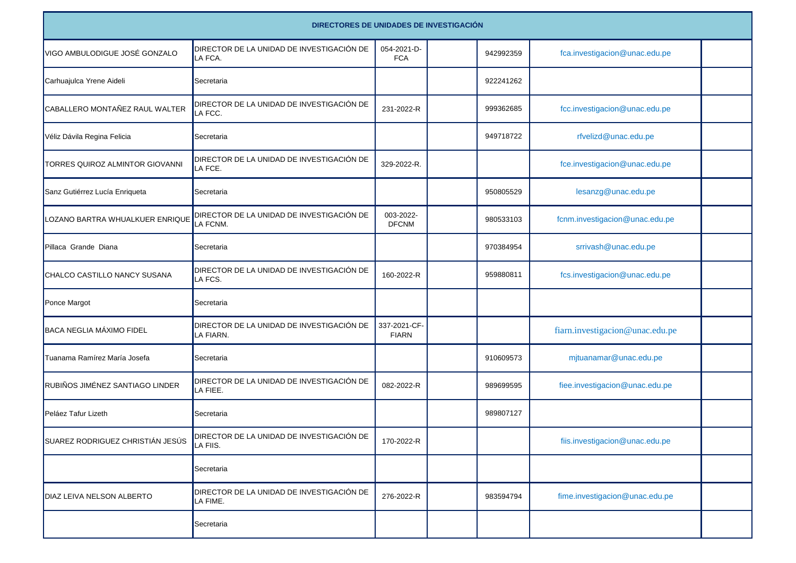|                                  | DIRECTORES DE UNIDADES DE INVESTIGACIÓN                |                              |  |           |                                 |  |  |  |  |
|----------------------------------|--------------------------------------------------------|------------------------------|--|-----------|---------------------------------|--|--|--|--|
| VIGO AMBULODIGUE JOSÉ GONZALO    | DIRECTOR DE LA UNIDAD DE INVESTIGACIÓN DE<br>LA FCA.   | 054-2021-D-<br><b>FCA</b>    |  | 942992359 | fca.investigacion@unac.edu.pe   |  |  |  |  |
| Carhuajulca Yrene Aideli         | Secretaria                                             |                              |  | 922241262 |                                 |  |  |  |  |
| CABALLERO MONTAÑEZ RAUL WALTER   | DIRECTOR DE LA UNIDAD DE INVESTIGACIÓN DE<br>LA FCC.   | 231-2022-R                   |  | 999362685 | fcc.investigacion@unac.edu.pe   |  |  |  |  |
| Véliz Dávila Regina Felicia      | Secretaria                                             |                              |  | 949718722 | rfvelizd@unac.edu.pe            |  |  |  |  |
| TORRES QUIROZ ALMINTOR GIOVANNI  | DIRECTOR DE LA UNIDAD DE INVESTIGACIÓN DE<br>LA FCE.   | 329-2022-R.                  |  |           | fce.investigacion@unac.edu.pe   |  |  |  |  |
| Sanz Gutiérrez Lucía Enriqueta   | Secretaria                                             |                              |  | 950805529 | lesanzg@unac.edu.pe             |  |  |  |  |
| LOZANO BARTRA WHUALKUER ENRIQUE  | DIRECTOR DE LA UNIDAD DE INVESTIGACIÓN DE<br>LA FCNM.  | 003-2022-<br><b>DFCNM</b>    |  | 980533103 | fcnm.investigacion@unac.edu.pe  |  |  |  |  |
| Pillaca Grande Diana             | Secretaria                                             |                              |  | 970384954 | srrivash@unac.edu.pe            |  |  |  |  |
| CHALCO CASTILLO NANCY SUSANA     | DIRECTOR DE LA UNIDAD DE INVESTIGACIÓN DE<br>LA FCS.   | 160-2022-R                   |  | 959880811 | fcs.investigacion@unac.edu.pe   |  |  |  |  |
| Ponce Margot                     | Secretaria                                             |                              |  |           |                                 |  |  |  |  |
| BACA NEGLIA MÁXIMO FIDEL         | DIRECTOR DE LA UNIDAD DE INVESTIGACIÓN DE<br>LA FIARN. | 337-2021-CF-<br><b>FIARN</b> |  |           | fiarn.investigacion@unac.edu.pe |  |  |  |  |
| Tuanama Ramírez María Josefa     | Secretaria                                             |                              |  | 910609573 | mjtuanamar@unac.edu.pe          |  |  |  |  |
| RUBIÑOS JIMÉNEZ SANTIAGO LINDER  | DIRECTOR DE LA UNIDAD DE INVESTIGACIÓN DE<br>LA FIEE.  | 082-2022-R                   |  | 989699595 | fiee.investigacion@unac.edu.pe  |  |  |  |  |
| Peláez Tafur Lizeth              | Secretaria                                             |                              |  | 989807127 |                                 |  |  |  |  |
| SUAREZ RODRIGUEZ CHRISTIÁN JESÚS | DIRECTOR DE LA UNIDAD DE INVESTIGACIÓN DE<br>LA FIIS.  | 170-2022-R                   |  |           | fiis.investigacion@unac.edu.pe  |  |  |  |  |
|                                  | Secretaria                                             |                              |  |           |                                 |  |  |  |  |
| DIAZ LEIVA NELSON ALBERTO        | DIRECTOR DE LA UNIDAD DE INVESTIGACIÓN DE<br>LA FIME.  | 276-2022-R                   |  | 983594794 | fime.investigacion@unac.edu.pe  |  |  |  |  |
|                                  | Secretaria                                             |                              |  |           |                                 |  |  |  |  |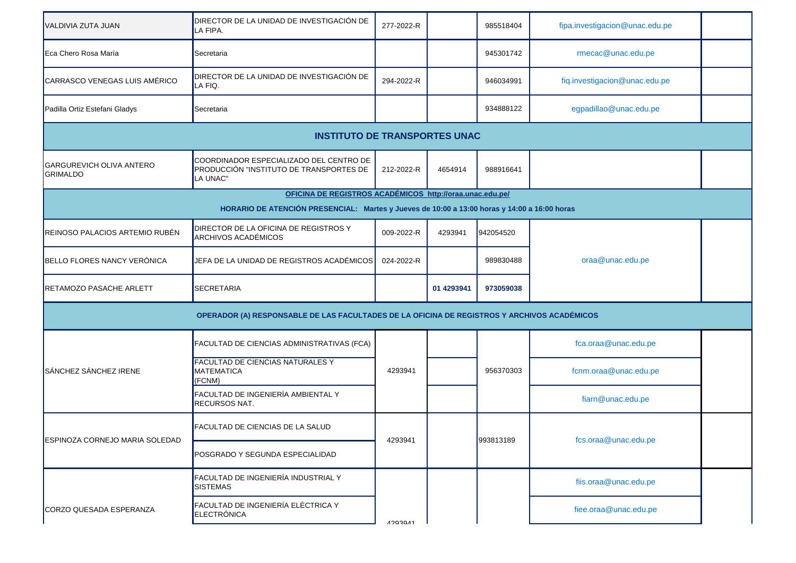| VALDIVIA ZUTA JUAN                                                                           | DIRECTOR DE LA UNIDAD DE INVESTIGACIÓN DE<br>LA FIPA.                                          | 277-2022-R     |            | 985518404 | fipa.investigacion@unac.edu.pe |  |  |  |  |  |  |
|----------------------------------------------------------------------------------------------|------------------------------------------------------------------------------------------------|----------------|------------|-----------|--------------------------------|--|--|--|--|--|--|
| Eca Chero Rosa María                                                                         | Secretaria                                                                                     |                |            | 945301742 | rmecac@unac.edu.pe             |  |  |  |  |  |  |
| CARRASCO VENEGAS LUIS AMÉRICO                                                                | DIRECTOR DE LA UNIDAD DE INVESTIGACIÓN DE<br>LA FIQ.                                           | 294-2022-R     |            | 946034991 | fiq.investigacion@unac.edu.pe  |  |  |  |  |  |  |
| Padilla Ortiz Estefani Gladys                                                                | Secretaria                                                                                     |                |            | 934888122 | egpadillao@unac.edu.pe         |  |  |  |  |  |  |
| <b>INSTITUTO DE TRANSPORTES UNAC</b>                                                         |                                                                                                |                |            |           |                                |  |  |  |  |  |  |
| GARGUREVICH OLIVA ANTERO<br><b>GRIMALDO</b>                                                  | COORDINADOR ESPECIALIZADO DEL CENTRO DE<br>PRODUCCIÓN "INSTITUTO DE TRANSPORTES DE<br>LA UNAC" | 212-2022-R     | 4654914    | 988916641 |                                |  |  |  |  |  |  |
|                                                                                              | OFICINA DE REGISTROS ACADÉMICOS http://oraa.unac.edu.pe/                                       |                |            |           |                                |  |  |  |  |  |  |
| HORARIO DE ATENCIÓN PRESENCIAL: Martes y Jueves de 10:00 a 13:00 horas y 14:00 a 16:00 horas |                                                                                                |                |            |           |                                |  |  |  |  |  |  |
| REINOSO PALACIOS ARTEMIO RUBÉN                                                               | DIRECTOR DE LA OFICINA DE REGISTROS Y<br>ARCHIVOS ACADÉMICOS                                   | 009-2022-R     | 4293941    | 942054520 |                                |  |  |  |  |  |  |
| BELLO FLORES NANCY VERÓNICA                                                                  | JEFA DE LA UNIDAD DE REGISTROS ACADÉMICOS                                                      | 024-2022-R     |            | 989830488 | oraa@unac.edu.pe               |  |  |  |  |  |  |
| <b>RETAMOZO PASACHE ARLETT</b>                                                               | <b>SECRETARIA</b>                                                                              |                | 01 4293941 | 973059038 |                                |  |  |  |  |  |  |
| OPERADOR (A) RESPONSABLE DE LAS FACULTADES DE LA OFICINA DE REGISTROS Y ARCHIVOS ACADÉMICOS  |                                                                                                |                |            |           |                                |  |  |  |  |  |  |
| SÁNCHEZ SÁNCHEZ IRENE                                                                        | FACULTAD DE CIENCIAS ADMINISTRATIVAS (FCA)                                                     | 4293941        |            | 956370303 | fca.oraa@unac.edu.pe           |  |  |  |  |  |  |
|                                                                                              | FACULTAD DE CIENCIAS NATURALES Y<br><b>MATEMATICA</b><br>(FCNM)                                |                |            |           | fcnm.oraa@unac.edu.pe          |  |  |  |  |  |  |
|                                                                                              | FACULTAD DE INGENIERÍA AMBIENTAL Y<br><b>RECURSOS NAT.</b>                                     |                |            |           | fiarn@unac.edu.pe              |  |  |  |  |  |  |
| <b>ESPINOZA CORNEJO MARIA SOLEDAD</b>                                                        | <b>FACULTAD DE CIENCIAS DE LA SALUD</b>                                                        | 4293941        |            | 993813189 | fcs.oraa@unac.edu.pe           |  |  |  |  |  |  |
|                                                                                              | POSGRADO Y SEGUNDA ESPECIALIDAD                                                                |                |            |           |                                |  |  |  |  |  |  |
|                                                                                              | FACULTAD DE INGENIERÍA INDUSTRIAL Y<br><b>SISTEMAS</b>                                         |                |            |           | fiis.oraa@unac.edu.pe          |  |  |  |  |  |  |
| CORZO QUESADA ESPERANZA                                                                      | FACULTAD DE INGENIERÍA ELÉCTRICA Y<br>ELECTRÓNICA                                              | $A$ 2030 $A$ 1 |            |           | fiee.oraa@unac.edu.pe          |  |  |  |  |  |  |
|                                                                                              |                                                                                                |                |            |           |                                |  |  |  |  |  |  |